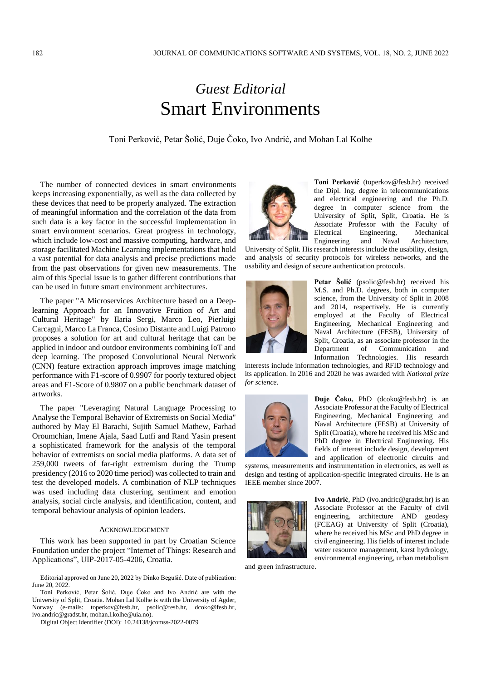## *Guest Editorial* Smart Environments

## Toni Perković, Petar Šolić, Duje Čoko, Ivo Andrić, and Mohan Lal Kolhe

The number of connected devices in smart environments keeps increasing exponentially, as well as the data collected by these devices that need to be properly analyzed. The extraction of meaningful information and the correlation of the data from such data is a key factor in the successful implementation in smart environment scenarios. Great progress in technology, which include low-cost and massive computing, hardware, and storage facilitated Machine Learning implementations that hold a vast potential for data analysis and precise predictions made from the past observations for given new measurements. The aim of this Special issue is to gather different contributions that can be used in future smart environment architectures.

The paper "A Microservices Architecture based on a Deeplearning Approach for an Innovative Fruition of Art and Cultural Heritage" by Ilaria Sergi, Marco Leo, Pierluigi Carcagnì, Marco La Franca, Cosimo Distante and Luigi Patrono proposes a solution for art and cultural heritage that can be applied in indoor and outdoor environments combining IoT and deep learning. The proposed Convolutional Neural Network (CNN) feature extraction approach improves image matching performance with F1-score of 0.9907 for poorly textured object areas and F1-Score of 0.9807 on a public benchmark dataset of artworks.

The paper "Leveraging Natural Language Processing to Analyse the Temporal Behavior of Extremists on Social Media" authored by May El Barachi, Sujith Samuel Mathew, Farhad Oroumchian, Imene Ajala, Saad Lutfi and Rand Yasin present a sophisticated framework for the analysis of the temporal behavior of extremists on social media platforms. A data set of 259,000 tweets of far-right extremism during the Trump presidency (2016 to 2020 time period) was collected to train and test the developed models. A combination of NLP techniques was used including data clustering, sentiment and emotion analysis, social circle analysis, and identification, content, and temporal behaviour analysis of opinion leaders.

## ACKNOWLEDGEMENT

This work has been supported in part by Croatian Science Foundation under the project "Internet of Things: Research and Applications", UIP-2017-05-4206, Croatia.

Toni Perković, Petar Šolić, Duje Čoko and Ivo Andrić are with the University of Split, Croatia. Mohan Lal Kolhe is with the University of Agder, Norway (e-mails: toperkov@fesb.hr, psolic@fesb.hr, dcoko@fesb.hr, ivo.andric@gradst.hr, mohan.l.kolhe@uia.no).

Digital Object Identifier (DOI): 10.24138/jcomss-2022-0079



**Toni Perković** (toperkov@fesb.hr) received the Dipl. Ing. degree in telecommunications and electrical engineering and the Ph.D. degree in computer science from the University of Split, Split, Croatia. He is Associate Professor with the Faculty of Electrical Engineering, Mechanical Engineering and Naval Architecture,

University of Split. His research interests include the usability, design, and analysis of security protocols for wireless networks, and the usability and design of secure authentication protocols.



**Petar Šolić** (psolic@fesb.hr) received his M.S. and Ph.D. degrees, both in computer science, from the University of Split in 2008 and 2014, respectively. He is currently employed at the Faculty of Electrical Engineering, Mechanical Engineering and Naval Architecture (FESB), University of Split, Croatia, as an associate professor in the Department of Communication and Information Technologies. His research

interests include information technologies, and RFID technology and its application. In 2016 and 2020 he was awarded with *National prize for science*.



**Duje Čoko,** PhD (dcoko@fesb.hr) is an Associate Professor at the Faculty of Electrical Engineering, Mechanical Engineering and Naval Architecture (FESB) at University of Split (Croatia), where he received his MSc and PhD degree in Electrical Engineering. His fields of interest include design, development and application of electronic circuits and

systems, measurements and instrumentation in electronics, as well as design and testing of application-specific integrated circuits. He is an IEEE member since 2007.



**Ivo Andrić**, PhD (ivo.andric@gradst.hr) is an Associate Professor at the Faculty of civil engineering, architecture AND geodesy (FCEAG) at University of Split (Croatia), where he received his MSc and PhD degree in civil engineering. His fields of interest include water resource management, karst hydrology, environmental engineering, urban metabolism

and green infrastructure.

Editorial approved on June 20, 2022 by Dinko Begušić. Date of publication: June 20, 2022.